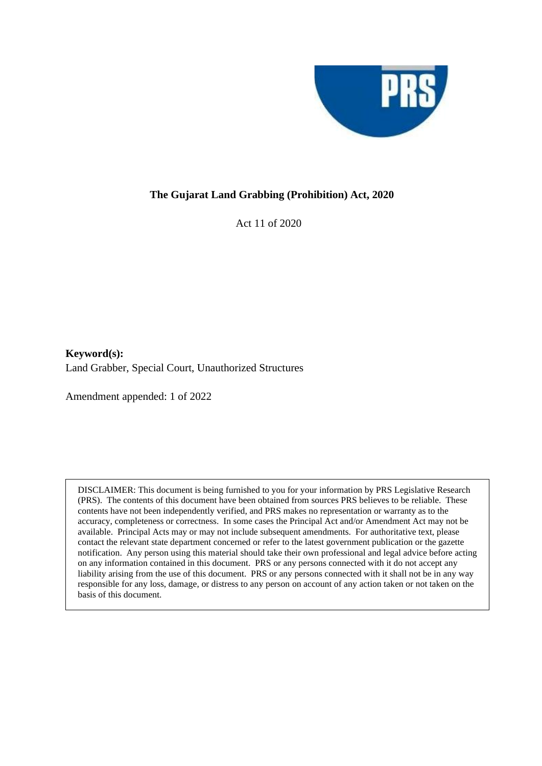

### **The Gujarat Land Grabbing (Prohibition) Act, 2020**

Act 11 of 2020

**Keyword(s):**  Land Grabber, Special Court, Unauthorized Structures

Amendment appended: 1 of 2022

DISCLAIMER: This document is being furnished to you for your information by PRS Legislative Research (PRS). The contents of this document have been obtained from sources PRS believes to be reliable. These contents have not been independently verified, and PRS makes no representation or warranty as to the accuracy, completeness or correctness. In some cases the Principal Act and/or Amendment Act may not be available. Principal Acts may or may not include subsequent amendments. For authoritative text, please contact the relevant state department concerned or refer to the latest government publication or the gazette notification. Any person using this material should take their own professional and legal advice before acting on any information contained in this document. PRS or any persons connected with it do not accept any liability arising from the use of this document. PRS or any persons connected with it shall not be in any way responsible for any loss, damage, or distress to any person on account of any action taken or not taken on the basis of this document.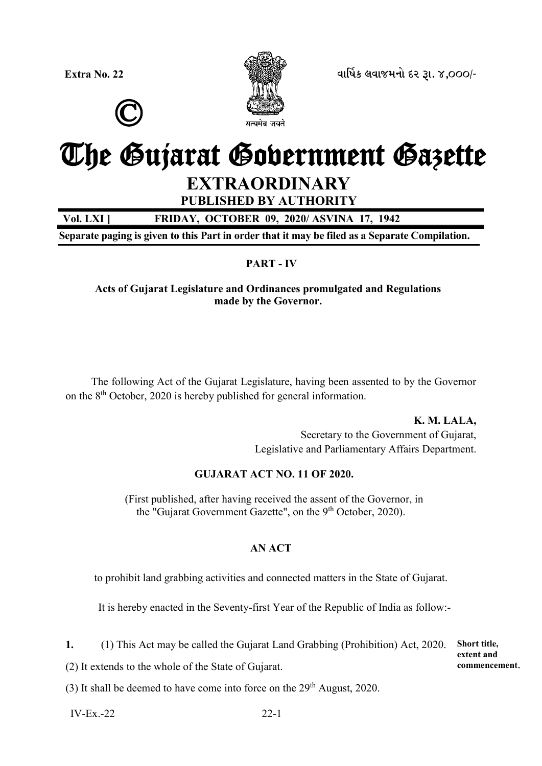©



**Extra No. 22** *äëìæýÀ áäëÉÜÞù Øß wë. 4,000/-*

# The Gujarat Government Gazette **EXTRAORDINARY**

**PUBLISHED BY AUTHORITY**

**Vol. LXI ] FRIDAY, OCTOBER 09, 2020/ ASVINA 17, 1942**

**Separate paging is given to this Part in order that it may be filed as a Separate Compilation.**

### **PART - IV**

**Acts of Gujarat Legislature and Ordinances promulgated and Regulations made by the Governor.**

The following Act of the Gujarat Legislature, having been assented to by the Governor on the 8<sup>th</sup> October, 2020 is hereby published for general information.

> **K. M. LALA,** Secretary to the Government of Gujarat, Legislative and Parliamentary Affairs Department.

### **GUJARAT ACT NO. 11 OF 2020.**

(First published, after having received the assent of the Governor, in the "Gujarat Government Gazette", on the 9<sup>th</sup> October, 2020).

### **AN ACT**

to prohibit land grabbing activities and connected matters in the State of Gujarat.

It is hereby enacted in the Seventy-first Year of the Republic of India as follow:-

**1.** (1) This Act may be called the Gujarat Land Grabbing (Prohibition) Act, 2020.

**Short title, extent and commencement**.

(2) It extends to the whole of the State of Gujarat.

(3) It shall be deemed to have come into force on the  $29<sup>th</sup>$  August, 2020.

 $IV-Ex.-22$  22-1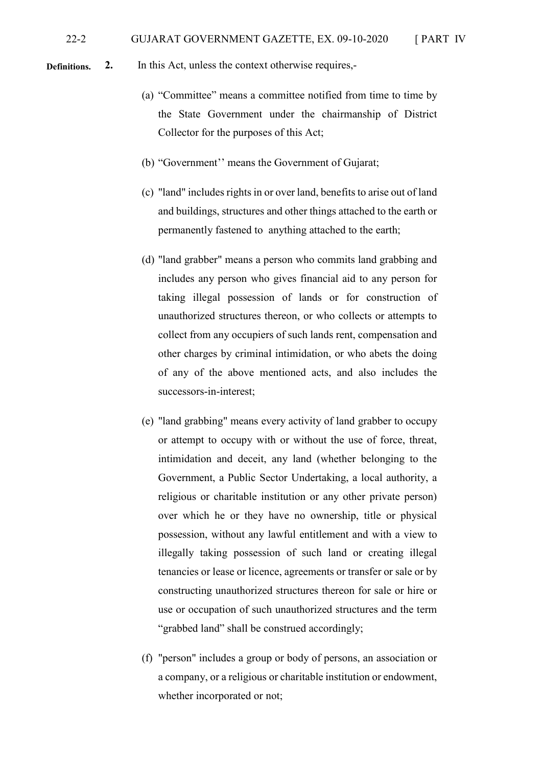**2.** In this Act, unless the context otherwise requires,- **Definitions.** 

- (a) "Committee" means a committee notified from time to time by the State Government under the chairmanship of District Collector for the purposes of this Act;
- (b) "Government'' means the Government of Gujarat;
- (c) "land" includes rights in or over land, benefits to arise out of land and buildings, structures and other things attached to the earth or permanently fastened to anything attached to the earth;
- (d) "land grabber" means a person who commits land grabbing and includes any person who gives financial aid to any person for taking illegal possession of lands or for construction of unauthorized structures thereon, or who collects or attempts to collect from any occupiers of such lands rent, compensation and other charges by criminal intimidation, or who abets the doing of any of the above mentioned acts, and also includes the successors-in-interest;
- (e) "land grabbing" means every activity of land grabber to occupy or attempt to occupy with or without the use of force, threat, intimidation and deceit, any land (whether belonging to the Government, a Public Sector Undertaking, a local authority, a religious or charitable institution or any other private person) over which he or they have no ownership, title or physical possession, without any lawful entitlement and with a view to illegally taking possession of such land or creating illegal tenancies or lease or licence, agreements or transfer or sale or by constructing unauthorized structures thereon for sale or hire or use or occupation of such unauthorized structures and the term "grabbed land" shall be construed accordingly;
- (f) "person" includes a group or body of persons, an association or a company, or a religious or charitable institution or endowment, whether incorporated or not;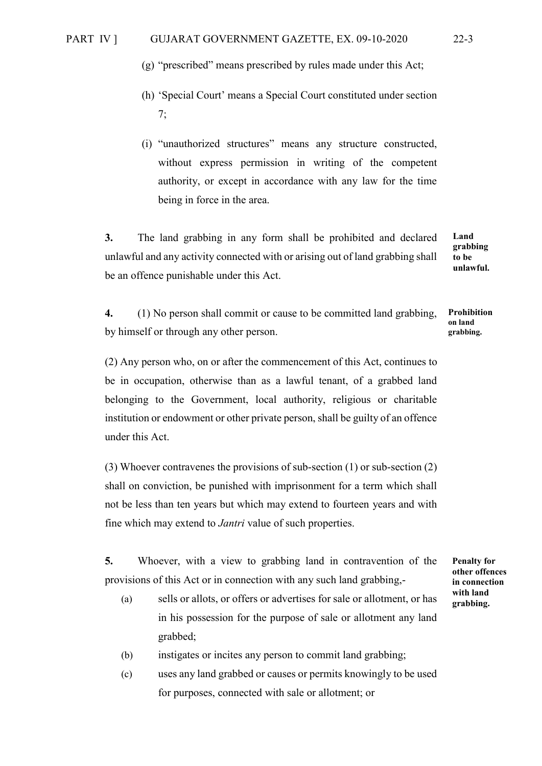- (g) "prescribed" means prescribed by rules made under this Act;
- (h) 'Special Court' means a Special Court constituted under section 7;
- (i) "unauthorized structures" means any structure constructed, without express permission in writing of the competent authority, or except in accordance with any law for the time being in force in the area.

**3.** The land grabbing in any form shall be prohibited and declared unlawful and any activity connected with or arising out of land grabbing shall be an offence punishable under this Act.

**Land grabbing to be unlawful.**

**4.** (1) No person shall commit or cause to be committed land grabbing, by himself or through any other person.

(2) Any person who, on or after the commencement of this Act, continues to be in occupation, otherwise than as a lawful tenant, of a grabbed land belonging to the Government, local authority, religious or charitable institution or endowment or other private person, shall be guilty of an offence under this Act.

(3) Whoever contravenes the provisions of sub-section (1) or sub-section (2) shall on conviction, be punished with imprisonment for a term which shall not be less than ten years but which may extend to fourteen years and with fine which may extend to *Jantri* value of such properties.

**5.** Whoever, with a view to grabbing land in contravention of the provisions of this Act or in connection with any such land grabbing,-

- (a) sells or allots, or offers or advertises for sale or allotment, or has in his possession for the purpose of sale or allotment any land grabbed;
- (b) instigates or incites any person to commit land grabbing;
- (c) uses any land grabbed or causes or permits knowingly to be used for purposes, connected with sale or allotment; or

**Prohibition on land grabbing.** 

**Penalty for other offences in connection with land grabbing.**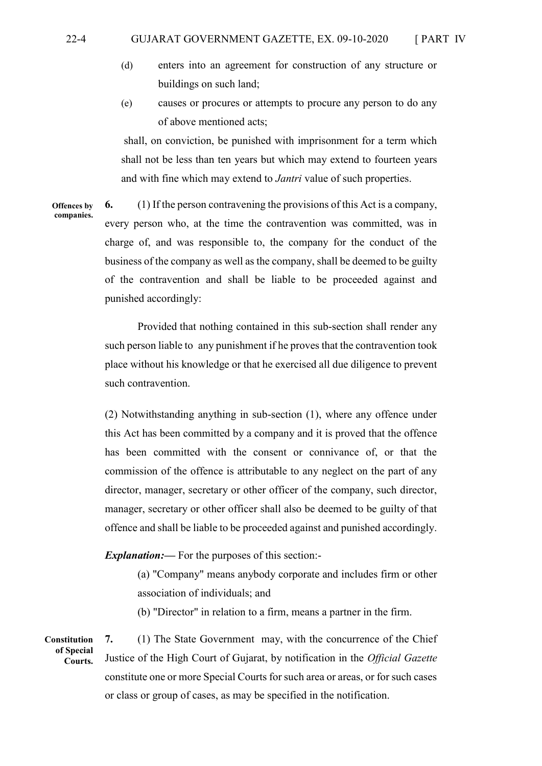### 22-4 GUJARAT GOVERNMENT GAZETTE, EX. 09-10-2020 [ PART IV

- (d) enters into an agreement for construction of any structure or buildings on such land;
- (e) causes or procures or attempts to procure any person to do any of above mentioned acts;

shall, on conviction, be punished with imprisonment for a term which shall not be less than ten years but which may extend to fourteen years and with fine which may extend to *Jantri* value of such properties.

**6.** (1) If the person contravening the provisions of this Act is a company, every person who, at the time the contravention was committed, was in charge of, and was responsible to, the company for the conduct of the business of the company as well as the company, shall be deemed to be guilty of the contravention and shall be liable to be proceeded against and punished accordingly: **Offences by companies.** 

> Provided that nothing contained in this sub-section shall render any such person liable to any punishment if he proves that the contravention took place without his knowledge or that he exercised all due diligence to prevent such contravention.

> (2) Notwithstanding anything in sub-section (1), where any offence under this Act has been committed by a company and it is proved that the offence has been committed with the consent or connivance of, or that the commission of the offence is attributable to any neglect on the part of any director, manager, secretary or other officer of the company, such director, manager, secretary or other officer shall also be deemed to be guilty of that offence and shall be liable to be proceeded against and punished accordingly.

*Explanation:—* For the purposes of this section:-

(a) "Company" means anybody corporate and includes firm or other association of individuals; and

(b) "Director" in relation to a firm, means a partner in the firm.

**Constitution of Special Courts.** 

**7.** (1) The State Government may, with the concurrence of the Chief Justice of the High Court of Gujarat, by notification in the *Official Gazette* constitute one or more Special Courts for such area or areas, or for such cases or class or group of cases, as may be specified in the notification.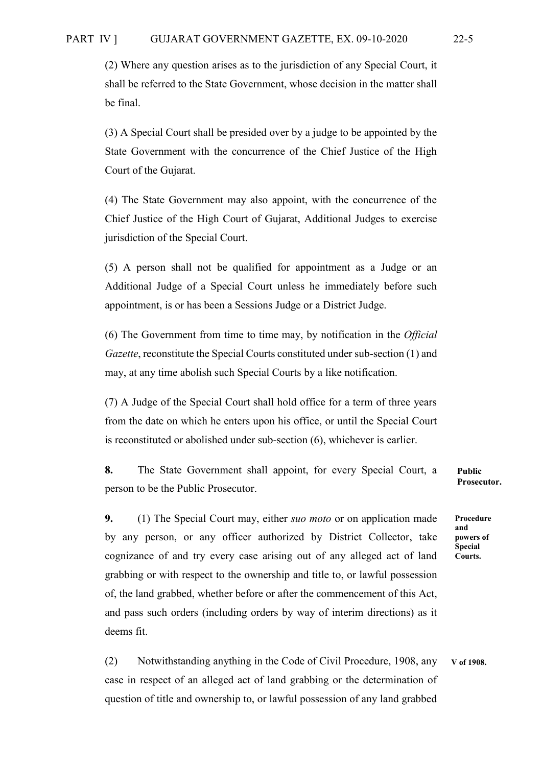(2) Where any question arises as to the jurisdiction of any Special Court, it shall be referred to the State Government, whose decision in the matter shall be final.

(3) A Special Court shall be presided over by a judge to be appointed by the State Government with the concurrence of the Chief Justice of the High Court of the Gujarat.

(4) The State Government may also appoint, with the concurrence of the Chief Justice of the High Court of Gujarat, Additional Judges to exercise jurisdiction of the Special Court.

(5) A person shall not be qualified for appointment as a Judge or an Additional Judge of a Special Court unless he immediately before such appointment, is or has been a Sessions Judge or a District Judge.

(6) The Government from time to time may, by notification in the *Official Gazette*, reconstitute the Special Courts constituted under sub-section (1) and may, at any time abolish such Special Courts by a like notification.

(7) A Judge of the Special Court shall hold office for a term of three years from the date on which he enters upon his office, or until the Special Court is reconstituted or abolished under sub-section (6), whichever is earlier.

**8.** The State Government shall appoint, for every Special Court, a person to be the Public Prosecutor.

**9.** (1) The Special Court may, either *suo moto* or on application made by any person, or any officer authorized by District Collector, take cognizance of and try every case arising out of any alleged act of land grabbing or with respect to the ownership and title to, or lawful possession of, the land grabbed, whether before or after the commencement of this Act, and pass such orders (including orders by way of interim directions) as it deems fit.

(2) Notwithstanding anything in the Code of Civil Procedure, 1908, any case in respect of an alleged act of land grabbing or the determination of question of title and ownership to, or lawful possession of any land grabbed **V of 1908.**

**Public Prosecutor.**

**Procedure and powers of Special Courts.**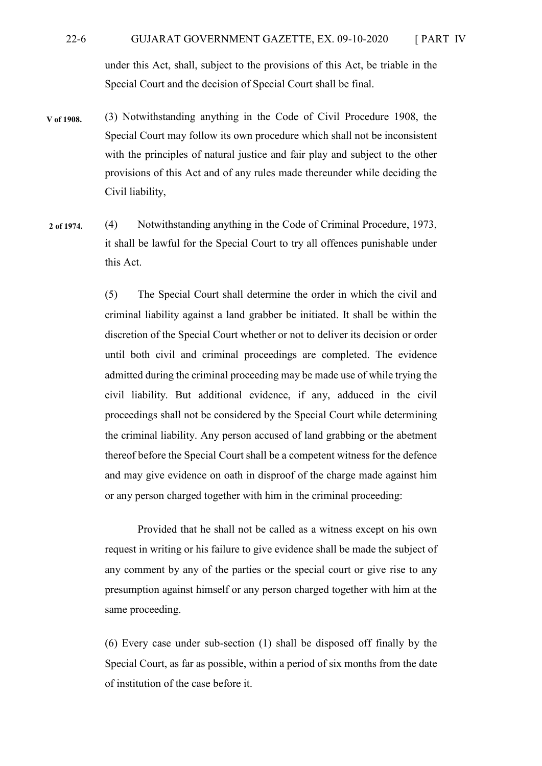### 22-6 GUJARAT GOVERNMENT GAZETTE, EX. 09-10-2020 [ PART IV under this Act, shall, subject to the provisions of this Act, be triable in the Special Court and the decision of Special Court shall be final.

- (3) Notwithstanding anything in the Code of Civil Procedure 1908, the Special Court may follow its own procedure which shall not be inconsistent with the principles of natural justice and fair play and subject to the other provisions of this Act and of any rules made thereunder while deciding the Civil liability, **V of 1908.**
- (4) Notwithstanding anything in the Code of Criminal Procedure, 1973, it shall be lawful for the Special Court to try all offences punishable under this Act. **2 of 1974.**

(5) The Special Court shall determine the order in which the civil and criminal liability against a land grabber be initiated. It shall be within the discretion of the Special Court whether or not to deliver its decision or order until both civil and criminal proceedings are completed. The evidence admitted during the criminal proceeding may be made use of while trying the civil liability. But additional evidence, if any, adduced in the civil proceedings shall not be considered by the Special Court while determining the criminal liability. Any person accused of land grabbing or the abetment thereof before the Special Court shall be a competent witness for the defence and may give evidence on oath in disproof of the charge made against him or any person charged together with him in the criminal proceeding:

Provided that he shall not be called as a witness except on his own request in writing or his failure to give evidence shall be made the subject of any comment by any of the parties or the special court or give rise to any presumption against himself or any person charged together with him at the same proceeding.

(6) Every case under sub-section (1) shall be disposed off finally by the Special Court, as far as possible, within a period of six months from the date of institution of the case before it.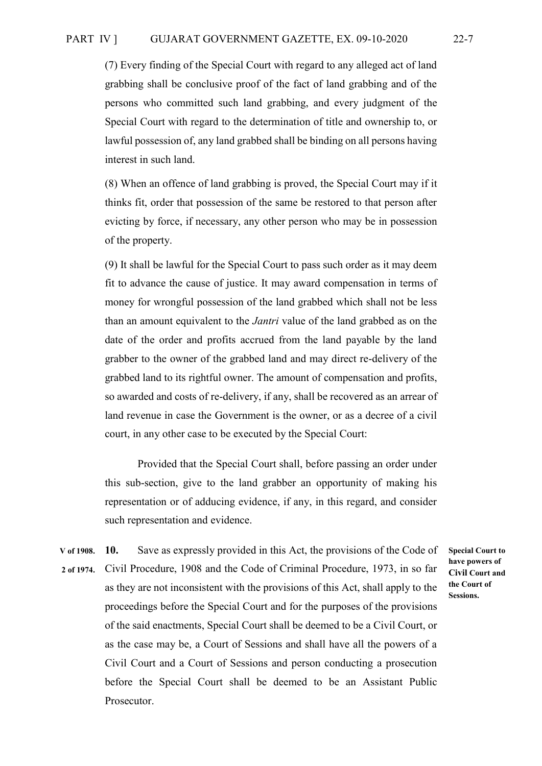(7) Every finding of the Special Court with regard to any alleged act of land grabbing shall be conclusive proof of the fact of land grabbing and of the persons who committed such land grabbing, and every judgment of the Special Court with regard to the determination of title and ownership to, or lawful possession of, any land grabbed shall be binding on all persons having interest in such land.

(8) When an offence of land grabbing is proved, the Special Court may if it thinks fit, order that possession of the same be restored to that person after evicting by force, if necessary, any other person who may be in possession of the property.

(9) It shall be lawful for the Special Court to pass such order as it may deem fit to advance the cause of justice. It may award compensation in terms of money for wrongful possession of the land grabbed which shall not be less than an amount equivalent to the *Jantri* value of the land grabbed as on the date of the order and profits accrued from the land payable by the land grabber to the owner of the grabbed land and may direct re-delivery of the grabbed land to its rightful owner. The amount of compensation and profits, so awarded and costs of re-delivery, if any, shall be recovered as an arrear of land revenue in case the Government is the owner, or as a decree of a civil court, in any other case to be executed by the Special Court:

Provided that the Special Court shall, before passing an order under this sub-section, give to the land grabber an opportunity of making his representation or of adducing evidence, if any, in this regard, and consider such representation and evidence.

**10.** Save as expressly provided in this Act, the provisions of the Code of Civil Procedure, 1908 and the Code of Criminal Procedure, 1973, in so far as they are not inconsistent with the provisions of this Act, shall apply to the proceedings before the Special Court and for the purposes of the provisions of the said enactments, Special Court shall be deemed to be a Civil Court, or as the case may be, a Court of Sessions and shall have all the powers of a Civil Court and a Court of Sessions and person conducting a prosecution before the Special Court shall be deemed to be an Assistant Public Prosecutor. **V of 1908. 2 of 1974.**

**Special Court to have powers of Civil Court and the Court of Sessions.**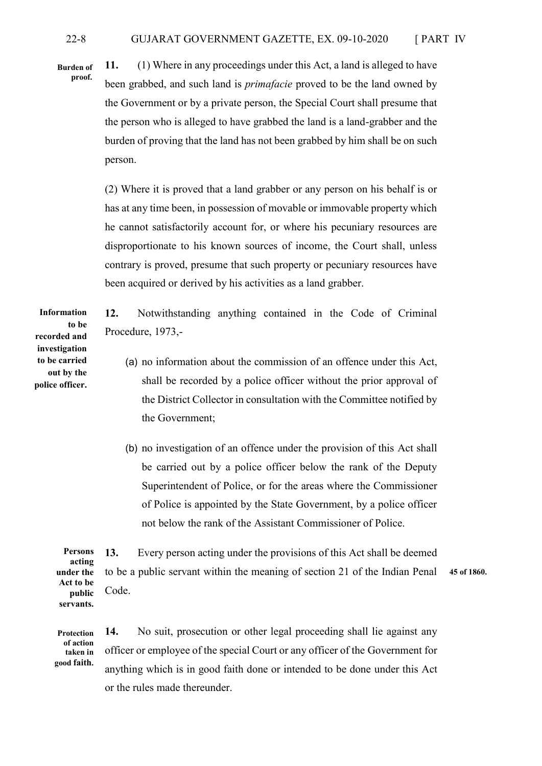**Burden of proof.**

**11.** (1) Where in any proceedings under this Act, a land is alleged to have been grabbed, and such land is *primafacie* proved to be the land owned by the Government or by a private person, the Special Court shall presume that the person who is alleged to have grabbed the land is a land-grabber and the burden of proving that the land has not been grabbed by him shall be on such person.

(2) Where it is proved that a land grabber or any person on his behalf is or has at any time been, in possession of movable or immovable property which he cannot satisfactorily account for, or where his pecuniary resources are disproportionate to his known sources of income, the Court shall, unless contrary is proved, presume that such property or pecuniary resources have been acquired or derived by his activities as a land grabber.

**12.** Notwithstanding anything contained in the Code of Criminal Procedure, 1973,-

- (a) no information about the commission of an offence under this Act, shall be recorded by a police officer without the prior approval of the District Collector in consultation with the Committee notified by the Government;
- (b) no investigation of an offence under the provision of this Act shall be carried out by a police officer below the rank of the Deputy Superintendent of Police, or for the areas where the Commissioner of Police is appointed by the State Government, by a police officer not below the rank of the Assistant Commissioner of Police.

**13.** Every person acting under the provisions of this Act shall be deemed to be a public servant within the meaning of section 21 of the Indian Penal Code. **Persons acting under the Act to be public servants. 45 of 1860.**

**14.** No suit, prosecution or other legal proceeding shall lie against any officer or employee of the special Court or any officer of the Government for anything which is in good faith done or intended to be done under this Act or the rules made thereunder. **Protection taken in good faith.** 

**Information to be recorded and investigation to be carried out by the police officer.**

**of action**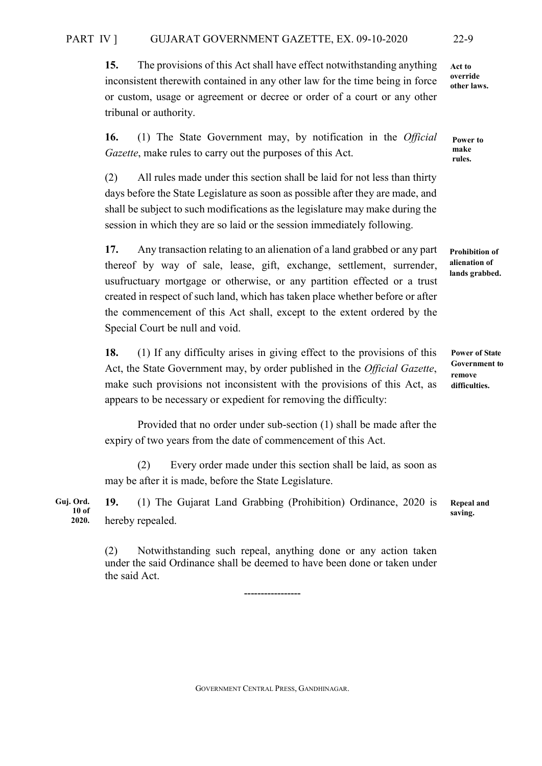**15.** The provisions of this Act shall have effect notwithstanding anything inconsistent therewith contained in any other law for the time being in force or custom, usage or agreement or decree or order of a court or any other tribunal or authority.

**16.** (1) The State Government may, by notification in the *Official Gazette*, make rules to carry out the purposes of this Act.

(2) All rules made under this section shall be laid for not less than thirty days before the State Legislature as soon as possible after they are made, and shall be subject to such modifications as the legislature may make during the session in which they are so laid or the session immediately following.

**17.** Any transaction relating to an alienation of a land grabbed or any part thereof by way of sale, lease, gift, exchange, settlement, surrender, usufructuary mortgage or otherwise, or any partition effected or a trust created in respect of such land, which has taken place whether before or after the commencement of this Act shall, except to the extent ordered by the Special Court be null and void.

**18.** (1) If any difficulty arises in giving effect to the provisions of this Act, the State Government may, by order published in the *Official Gazette*, make such provisions not inconsistent with the provisions of this Act, as appears to be necessary or expedient for removing the difficulty:

Provided that no order under sub-section (1) shall be made after the expiry of two years from the date of commencement of this Act.

(2) Every order made under this section shall be laid, as soon as may be after it is made, before the State Legislature.

**19.** (1) The Gujarat Land Grabbing (Prohibition) Ordinance, 2020 is hereby repealed. **Guj. Ord. 10 of 2020.** 

> (2) Notwithstanding such repeal, anything done or any action taken under the said Ordinance shall be deemed to have been done or taken under the said Act.

> > -----------------

GOVERNMENT CENTRAL PRESS, GANDHINAGAR.

**Act to override other laws.** 

**Power to make rules.** 

**Prohibition of alienation of lands grabbed.**

**Power of State Government to remove difficulties.**

**Repeal and saving.**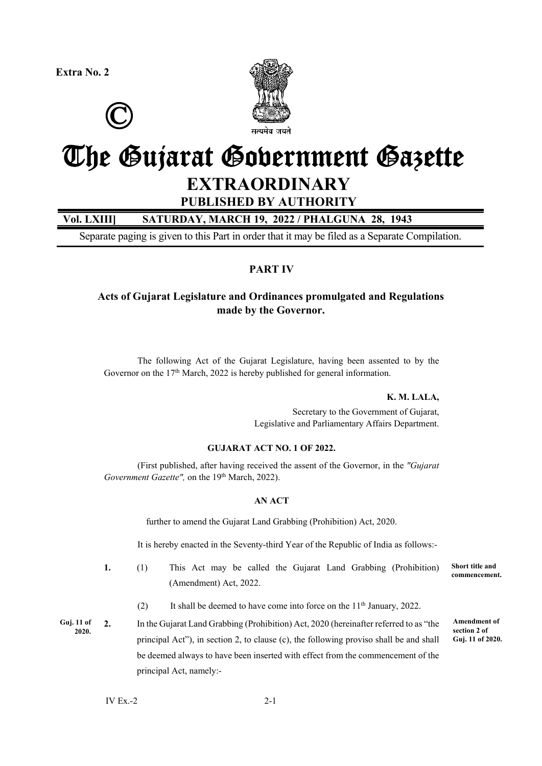**Extra No. 2**





## The Gujarat Government Gazette **EXTRAORDINARY**

**PUBLISHED BY AUTHORITY** 

### **Vol. LXIII] SATURDAY, MARCH 19, 2022 / PHALGUNA 28, 1943**

Separate paging is given to this Part in order that it may be filed as a Separate Compilation.

### **PART IV**

### **Acts of Gujarat Legislature and Ordinances promulgated and Regulations made by the Governor.**

 The following Act of the Gujarat Legislature, having been assented to by the Governor on the  $17<sup>th</sup>$  March, 2022 is hereby published for general information.

### **K. M. LALA,**

Secretary to the Government of Gujarat, Legislative and Parliamentary Affairs Department.

### **GUJARAT ACT NO. 1 OF 2022.**

 (First published, after having received the assent of the Governor, in the *"Gujarat Government Gazette"*, on the 19<sup>th</sup> March, 2022).

### **AN ACT**

further to amend the Gujarat Land Grabbing (Prohibition) Act, 2020.

It is hereby enacted in the Seventy-third Year of the Republic of India as follows:-

- **1.** (1)This Act may be called the Gujarat Land Grabbing (Prohibition) (Amendment) Act, 2022. **Short title and commencement.**
	- (2) It shall be deemed to have come into force on the  $11<sup>th</sup>$  January, 2022.

**Guj. 11 of 2020.**

**2.** In the Gujarat Land Grabbing (Prohibition) Act, 2020 (hereinafter referred to as "the principal Act"), in section 2, to clause (c), the following proviso shall be and shall be deemed always to have been inserted with effect from the commencement of the principal Act, namely:-

**Amendment of section 2 of Guj. 11 of 2020.**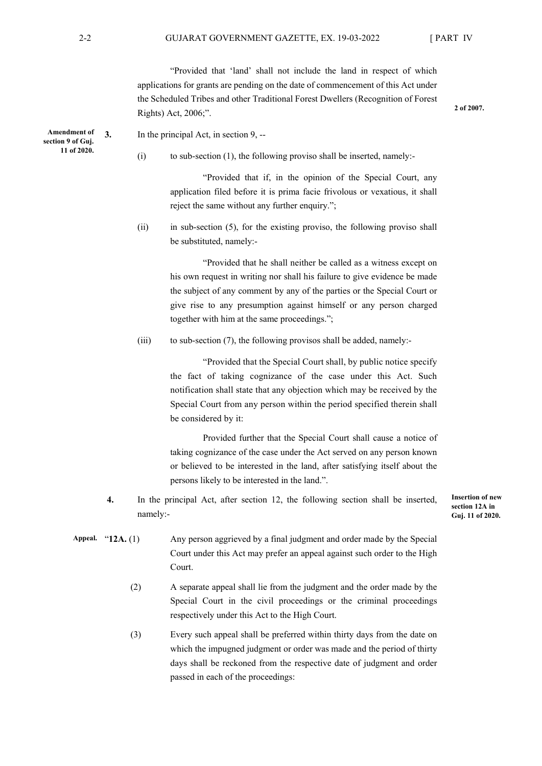"Provided that 'land' shall not include the land in respect of which applications for grants are pending on the date of commencement of this Act under the Scheduled Tribes and other Traditional Forest Dwellers (Recognition of Forest Rights) Act, 2006;".

**2 of 2007.** 

- **3.** In the principal Act, in section 9, --
	- $(i)$  to sub-section  $(1)$ , the following proviso shall be inserted, namely:-

 "Provided that if, in the opinion of the Special Court, any application filed before it is prima facie frivolous or vexatious, it shall reject the same without any further enquiry.";

(ii) in sub-section (5), for the existing proviso, the following proviso shall be substituted, namely:-

> "Provided that he shall neither be called as a witness except on his own request in writing nor shall his failure to give evidence be made the subject of any comment by any of the parties or the Special Court or give rise to any presumption against himself or any person charged together with him at the same proceedings.";

(iii) to sub-section (7), the following provisos shall be added, namely:-

 "Provided that the Special Court shall, by public notice specify the fact of taking cognizance of the case under this Act. Such notification shall state that any objection which may be received by the Special Court from any person within the period specified therein shall be considered by it:

 Provided further that the Special Court shall cause a notice of taking cognizance of the case under the Act served on any person known or believed to be interested in the land, after satisfying itself about the persons likely to be interested in the land.".

**4.** In the principal Act, after section 12, the following section shall be inserted, namely:-

**Insertion of new section 12A in Guj. 11 of 2020.**

- Any person aggrieved by a final judgment and order made by the Special Court under this Act may prefer an appeal against such order to the High Court. Appeal. "12A. (1)
	- (2) A separate appeal shall lie from the judgment and the order made by the Special Court in the civil proceedings or the criminal proceedings respectively under this Act to the High Court.
	- (3) Every such appeal shall be preferred within thirty days from the date on which the impugned judgment or order was made and the period of thirty days shall be reckoned from the respective date of judgment and order passed in each of the proceedings:

**Amendment of section 9 of Guj. 11 of 2020.**